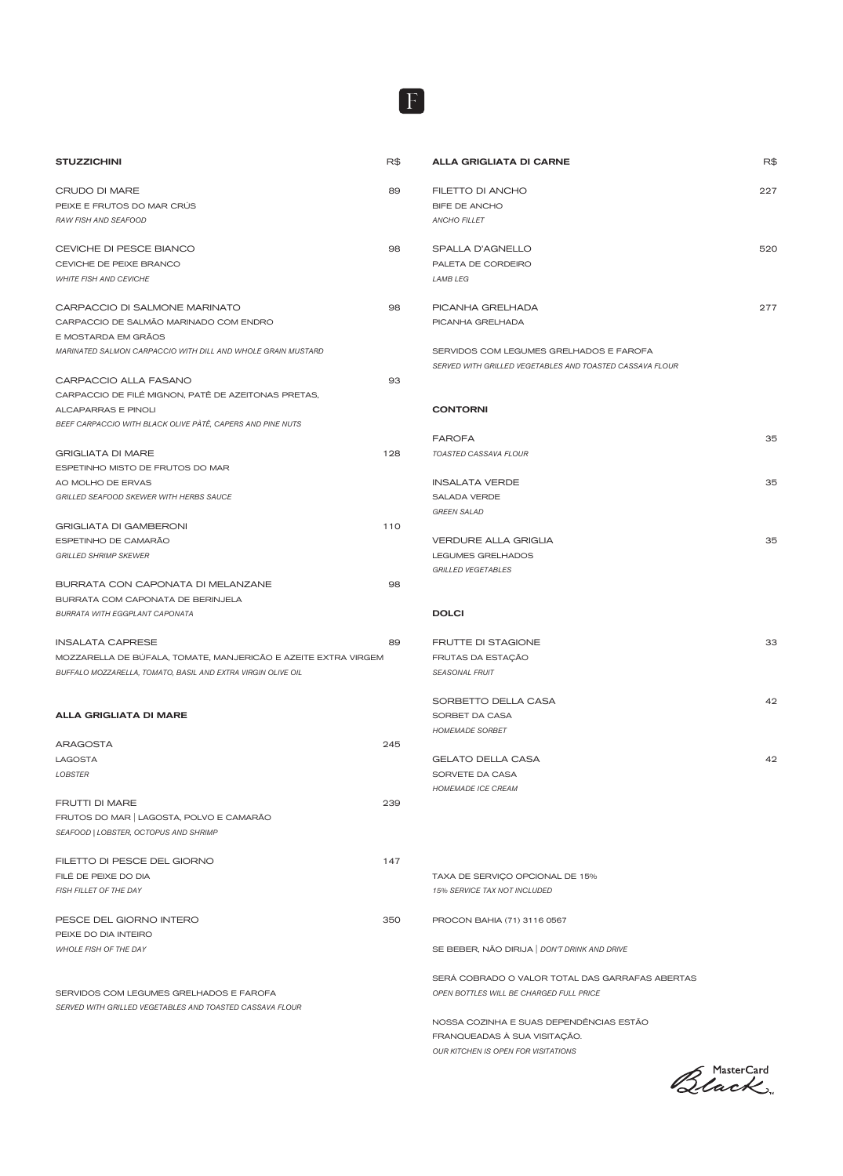| <b>STUZZICHINI</b>                                                                | R\$ | AL              |
|-----------------------------------------------------------------------------------|-----|-----------------|
| CRUDO DI MARE                                                                     | 89  | FIL             |
| PEIXE E FRUTOS DO MAR CRÚS                                                        |     | BIF             |
| RAW FISH AND SEAFOOD                                                              |     | AN              |
|                                                                                   |     |                 |
| CEVICHE DI PESCE BIANCO                                                           | 98  | SF              |
| CEVICHE DE PEIXE BRANCO                                                           |     | PA              |
| <b>WHITE FISH AND CEVICHE</b>                                                     |     | LAI             |
| CARPACCIO DI SALMONE MARINATO                                                     | 98  | PK              |
| CARPACCIO DE SALMÃO MARINADO COM ENDRO                                            |     | <b>PI</b>       |
| E MOSTARDA EM GRÃOS                                                               |     |                 |
| <b>MARINATED SALMON CARPACCIO WITH DILL AND WHOLE GRAIN MUSTARD</b>               |     | <b>SE</b>       |
|                                                                                   |     | <b>SEI</b>      |
| CARPACCIO ALLA FASANO                                                             | 93  |                 |
| CARPACCIO DE FILÉ MIGNON, PATÊ DE AZEITONAS PRETAS,<br><b>ALCAPARRAS E PINOLI</b> |     | CО              |
| BEEF CARPACCIO WITH BLACK OLIVE PÀTÊ, CAPERS AND PINE NUTS                        |     |                 |
|                                                                                   |     | FA              |
| <b>GRIGLIATA DI MARE</b>                                                          | 128 | TO,             |
| ESPETINHO MISTO DE FRUTOS DO MAR                                                  |     |                 |
| AO MOLHO DE ERVAS                                                                 |     | IN:             |
| GRILLED SEAFOOD SKEWER WITH HERBS SAUCE                                           |     | SA              |
| <b>GRIGLIATA DI GAMBERONI</b>                                                     | 110 | GR              |
| ESPETINHO DE CAMARÃO                                                              |     | VE              |
| <b>GRILLED SHRIMP SKEWER</b>                                                      |     | LE              |
|                                                                                   |     | GR              |
| BURRATA CON CAPONATA DI MELANZANE                                                 | 98  |                 |
| BURRATA COM CAPONATA DE BERINJELA                                                 |     |                 |
| <b>BURRATA WITH EGGPLANT CAPONATA</b>                                             |     | D               |
| <b>INSALATA CAPRESE</b>                                                           | 89  | FF              |
| MOZZARELLA DE BÚFALA, TOMATE, MANJERICÃO E AZEITE EXTRA VIRGEM                    |     | FR              |
| BUFFALO MOZZARELLA, TOMATO, BASIL AND EXTRA VIRGIN OLIVE OIL                      |     | SE,             |
|                                                                                   |     |                 |
| <b>ALLA GRIGLIATA DI MARE</b>                                                     |     | S<br>SC         |
|                                                                                   |     | HO              |
| <b>ARAGOSTA</b>                                                                   | 245 |                 |
| <b>LAGOSTA</b>                                                                    |     | GE              |
| <b>LOBSTER</b>                                                                    |     | SC              |
|                                                                                   |     | HO              |
| <b>FRUTTI DI MARE</b><br>FRUTOS DO MAR   LAGOSTA, POLVO E CAMARÃO                 | 239 |                 |
| SEAFOOD   LOBSTER, OCTOPUS AND SHRIMP                                             |     |                 |
|                                                                                   |     |                 |
| FILETTO DI PESCE DEL GIORNO                                                       | 147 |                 |
| FILÉ DE PEIXE DO DIA                                                              |     | <b>TA</b>       |
| FISH FILLET OF THE DAY                                                            |     | 15 <sup>c</sup> |
| PESCE DEL GIORNO INTERO                                                           | 350 | PR              |
| PEIXE DO DIA INTEIRO                                                              |     |                 |
| <b>WHOLE FISH OF THE DAY</b>                                                      |     | <b>SE</b>       |
|                                                                                   |     |                 |
|                                                                                   |     | <b>SE</b>       |
| SERVIDOS COM LEGUMES GRELHADOS E FAROFA                                           |     | OP              |
| SERVED WITH GRILLED VEGETABLES AND TOASTED CASSAVA FLOUR                          |     |                 |

F

| <b>ALLA GRIGLIATA DI CARNE</b>                           | R\$ |
|----------------------------------------------------------|-----|
| FILETTO DI ANCHO                                         |     |
| BIFE DE ANCHO                                            | 227 |
| <b>ANCHO FILLET</b>                                      |     |
|                                                          |     |
| SPALLA D'AGNELLO                                         | 520 |
| PALETA DE CORDEIRO                                       |     |
| <b>LAMB LEG</b>                                          |     |
|                                                          |     |
| PICANHA GRELHADA                                         | 277 |
| PICANHA GRELHADA                                         |     |
| SERVIDOS COM LEGUMES GRELHADOS E FAROFA                  |     |
| SERVED WITH GRILLED VEGETABLES AND TOASTED CASSAVA FLOUR |     |
|                                                          |     |
|                                                          |     |
| <b>CONTORNI</b>                                          |     |
|                                                          |     |
| <b>FAROFA</b>                                            | 35  |
| TOASTED CASSAVA FLOUR                                    |     |
| <b>INSALATA VERDE</b>                                    | 35  |
| SALADA VERDE                                             |     |
| <b>GREEN SALAD</b>                                       |     |
|                                                          |     |
| <b>VERDURE ALLA GRIGLIA</b>                              | 35  |
| <b>LEGUMES GRELHADOS</b>                                 |     |
| <b>GRILLED VEGETABLES</b>                                |     |
|                                                          |     |
| <b>DOLCI</b>                                             |     |
|                                                          |     |
| <b>FRUTTE DI STAGIONE</b>                                | 33  |
| FRUTAS DA ESTAÇÃO                                        |     |
| <b>SEASONAL FRUIT</b>                                    |     |
|                                                          |     |
| SORBETTO DELLA CASA                                      | 42  |
| SORBET DA CASA                                           |     |
| <b>HOMEMADE SORBET</b>                                   |     |
| <b>GELATO DELLA CASA</b>                                 | 42  |
| SORVETE DA CASA                                          |     |
| <b>HOMEMADE ICE CREAM</b>                                |     |
|                                                          |     |
|                                                          |     |
|                                                          |     |
|                                                          |     |
|                                                          |     |
| TAXA DE SERVIÇO OPCIONAL DE 15%                          |     |
| 15% SERVICE TAX NOT INCLUDED                             |     |
| PROCON BAHIA (71) 3116 0567                              |     |
|                                                          |     |
| SE BEBER, NÃO DIRIJA   DON'T DRINK AND DRIVE             |     |

ERÁ COBRADO O VALOR TOTAL DAS GARRAFAS ABERTAS *OPEN BOTTLES WILL BE CHARGED FULL PRICE*

NOSSA COZINHA E SUAS DEPENDÊNCIAS ESTÃO FRANQUEADAS À SUA VISITAÇÃO. *OUR KITCHEN IS OPEN FOR VISITATIONS*

Black